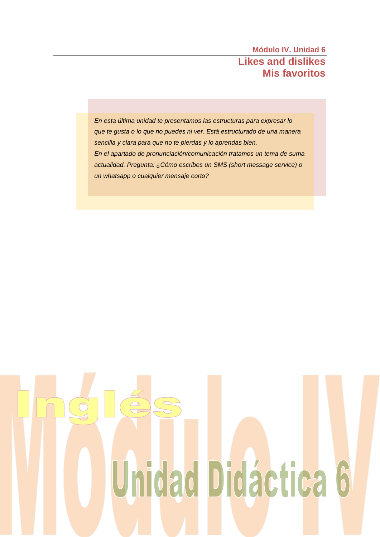*En esta última unidad te presentamos las estructuras para expresar lo que te gusta o lo que no puedes ni ver. Está estructurado de una manera sencilla y clara para que no te pierdas y lo aprendas bien. En el apartado de pronunciación/comunicación tratamos un tema de suma actualidad. Pregunta: ¿Cómo escribes un SMS (short message service) o un whatsapp o cualquier mensaje corto?* 

# Unidad Didáctica 6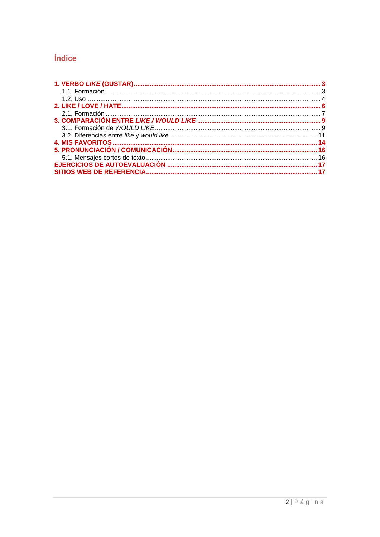# Índice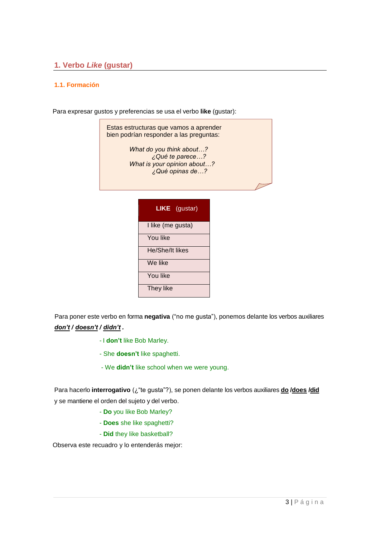# <span id="page-2-0"></span>**1. Verbo** *Like* **(gustar)**

### <span id="page-2-1"></span>**1.1. Formación**

Para expresar gustos y preferencias se usa el verbo **like** (gustar):

Estas estructuras que vamos a aprender bien podrían responder a las preguntas: *What do you think about…? ¿Qué te parece…? What is your opinion about…? ¿Qué opinas de…?*

| <b>LIKE</b> (gustar) |
|----------------------|
| I like (me gusta)    |
| You like             |
| He/She/It likes      |
| We like              |
| You like             |
| They like            |

Para poner este verbo en forma **negativa** ("no me gusta"), ponemos delante los verbos auxiliares *don't / doesn't / didn't .*

- I **don't** like Bob Marley.
- She **doesn't** like spaghetti.
- We **didn't** like school when we were young.

Para hacerlo **interrogativo** (¿"te gusta"?), se ponen delante los verbos auxiliares **do /does /did** y se mantiene el orden del sujeto y del verbo.

- **Do** you like Bob Marley?
- **Does** she like spaghetti?
- **Did** they like basketball?

Observa este recuadro y lo entenderás mejor: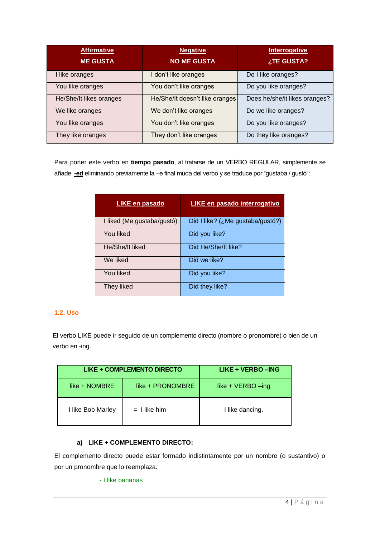| <b>Affirmative</b><br><b>ME GUSTA</b> | <b>Negative</b><br><b>NO ME GUSTA</b> | Interrogative<br>¿TE GUSTA?   |
|---------------------------------------|---------------------------------------|-------------------------------|
| I like oranges                        | I don't like oranges                  | Do I like oranges?            |
| You like oranges                      | You don't like oranges                | Do you like oranges?          |
| He/She/It likes oranges               | He/She/It doesn't like oranges        | Does he/she/it likes oranges? |
| We like oranges                       | We don't like oranges                 | Do we like oranges?           |
| You like oranges                      | You don't like oranges                | Do you like oranges?          |
| They like oranges                     | They don't like oranges               | Do they like oranges?         |

Para poner este verbo en **tiempo pasado**, al tratarse de un VERBO REGULAR, simplemente se añade **-ed** eliminando previamente la –e final muda del verbo y se traduce por "gustaba / gustó":

| <b>LIKE en pasado</b>      | LIKE en pasado interrogativo               |
|----------------------------|--------------------------------------------|
| I liked (Me gustaba/gustó) | Did I like? ( $\lambda$ Me gustaba/gustó?) |
| You liked                  | Did you like?                              |
| He/She/It liked            | Did He/She/It like?                        |
| We liked                   | Did we like?                               |
| You liked                  | Did you like?                              |
| They liked                 | Did they like?                             |

# <span id="page-3-0"></span>**1.2. Uso**

El verbo LIKE puede ir seguido de un complemento directo (nombre o pronombre) o bien de un verbo en -ing.

|                   | LIKE + COMPLEMENTO DIRECTO | LIKE + VERBO - ING   |
|-------------------|----------------------------|----------------------|
| like + NOMBRE     | like + PRONOMBRE           | like + $VERBO - ing$ |
| I like Bob Marley | $=$ I like him             | I like dancing.      |

## **a) LIKE + COMPLEMENTO DIRECTO:**

El complemento directo puede estar formado indistintamente por un nombre (o sustantivo) o por un pronombre que lo reemplaza.

- I like bananas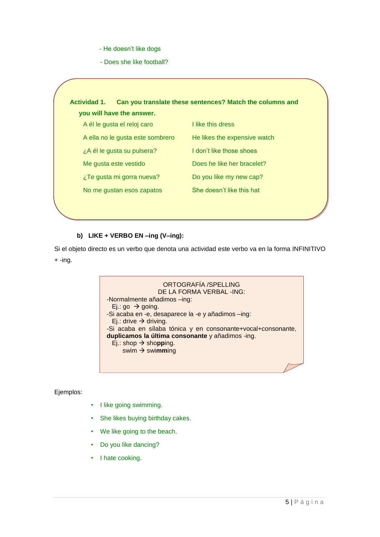- He doesn't like dogs
- Does she like football?



#### **b) LIKE + VERBO EN –ing (V–ing):**

Si el objeto directo es un verbo que denota una actividad este verbo va en la forma INFINITIVO  $+ -ing.$ 

> ORTOGRAFÍA /SPELLING DE LA FORMA VERBAL -ING: -Normalmente añadimos –ing: Ej.: go  $\rightarrow$  going. -Si acaba en -e, desaparece la -e y añadimos –ing: Ej.: drive  $\rightarrow$  driving. -Si acaba en sílaba tónica y en consonante+vocal+consonante, **duplicamos la última consonante** y añadimos -ing.  $Ej.:$  shop  $\rightarrow$  shopping. swim swi**mm**ing

Ejemplos:

- I like going swimming.
- She likes buying birthday cakes.
- We like going to the beach.
- Do you like dancing?
- I hate cooking.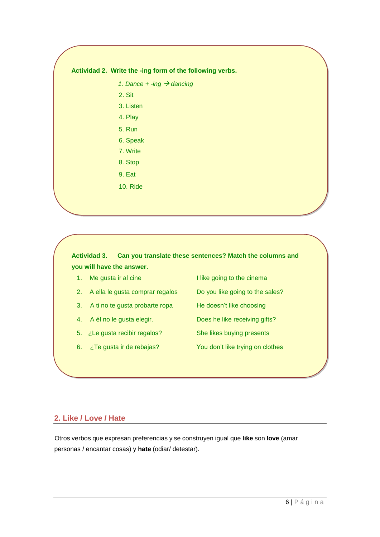#### **Actividad 2. Write the -ing form of the following verbs.**

*1. Dance + -ing dancing*

2. Sit

3. Listen

4. Play

5. Run

6. Speak

7. Write

- 8. Stop
- 9. Eat
- 10. Ride

# **Actividad 3. Can you translate these sentences? Match the columns and you will have the answer.**

- 
- 2. A ella le gusta comprar regalos Do you like going to the sales?
- 3. A ti no te gusta probarte ropa He doesn't like choosing
- 4. A él no le gusta elegir. Does he like receiving gifts?
- 5. ¿Le gusta recibir regalos? She likes buying presents
- 6. ¿Te gusta ir de rebajas? You don't like trying on clothes
- 1. Me gusta ir al cine I like going to the cinema
	-
	-
	-
	-
	-

# <span id="page-5-0"></span>**2. Like / Love / Hate**

Otros verbos que expresan preferencias y se construyen igual que **like** son **love** (amar personas / encantar cosas) y **hate** (odiar/ detestar).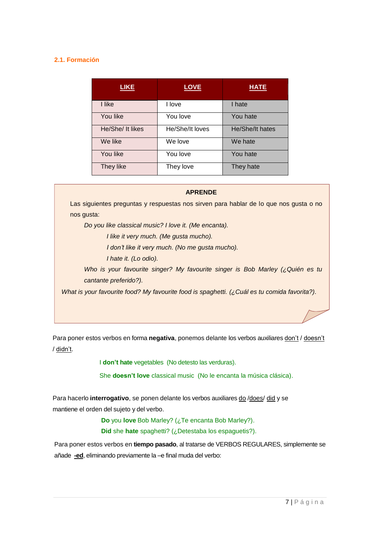## <span id="page-6-0"></span>**2.1. Formación**

| <b>LIKE</b>      | <b>LOVE</b>     | <b>HATE</b>     |
|------------------|-----------------|-----------------|
| I like           | I love          | I hate          |
| You like         | You love        | You hate        |
| He/She/ It likes | He/She/It loves | He/She/It hates |
| We like          | We love         | We hate         |
| You like         | You love        | You hate        |
| They like        | They love       | They hate       |

#### **APRENDE**

Las siguientes preguntas y respuestas nos sirven para hablar de lo que nos gusta o no nos gusta:

*Do you like classical music? I love it. (Me encanta).*

*I like it very much. (Me gusta mucho).*

*I don't like it very much. (No me gusta mucho).*

*I hate it. (Lo odio).*

*Who is your favourite singer? My favourite singer is Bob Marley (¿Quién es tu cantante preferido?).*

*What is your favourite food? My favourite food is spaghetti. (¿Cuál es tu comida favorita?).*

Para poner estos verbos en forma **negativa**, ponemos delante los verbos auxiliares don't / doesn't / didn't.

I **don't hate** vegetables (No detesto las verduras).

She **doesn't love** classical music (No le encanta la música clásica).

Para hacerlo **interrogativo**, se ponen delante los verbos auxiliares do /does/ did y se mantiene el orden del sujeto y del verbo.

**Do** you **love** Bob Marley? (¿Te encanta Bob Marley?).

**Did** she **hate** spaghetti? (¿Detestaba los espaguetis?).

Para poner estos verbos en **tiempo pasado**, al tratarse de VERBOS REGULARES, simplemente se añade **-ed**, eliminando previamente la –e final muda del verbo: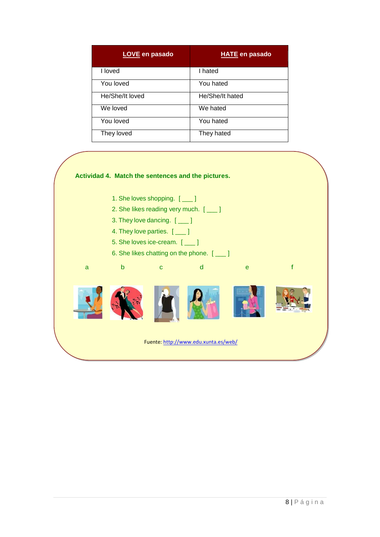| <b>LOVE</b> en pasado | <b>HATE en pasado</b> |
|-----------------------|-----------------------|
| I loved               | I hated               |
| You loved             | You hated             |
| He/She/It loved       | He/She/It hated       |
| We loved              | We hated              |
| You loved             | You hated             |
| They loved            | They hated            |

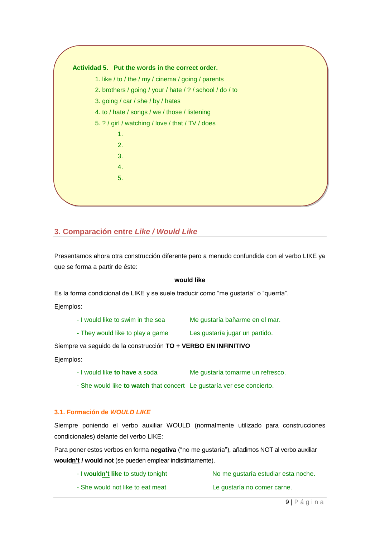

# <span id="page-8-0"></span>**3. Comparación entre** *Like / Would Like*

Presentamos ahora otra construcción diferente pero a menudo confundida con el verbo LIKE ya que se forma a partir de éste:

#### **would like**

Es la forma condicional de LIKE y se suele traducir como "me gustaría" o "querría".

Ejemplos:

| - I would like to swim in the sea | Me gustaría bañarme en el mar. |
|-----------------------------------|--------------------------------|

- They would like to play a game Les gustaría jugar un partido.

Siempre va seguido de la construcción **TO + VERBO EN INFINITIVO**

Ejemplos:

- I would like **to have** a soda Me gustaría tomarme un refresco.

- She would like **to watch** that concert Le gustaría ver ese concierto.

#### <span id="page-8-1"></span>**3.1. Formación de** *WOULD LIKE*

Siempre poniendo el verbo auxiliar WOULD (normalmente utilizado para construcciones condicionales) delante del verbo LIKE:

Para poner estos verbos en forma **negativa** ("no me gustaría"), añadimos NOT al verbo auxiliar **wouldn't / would not** (se pueden emplear indistintamente).

- I **wouldn't like** to study tonight No me gustaría estudiar esta noche.
- She would not like to eat meat Le gustaría no comer carne.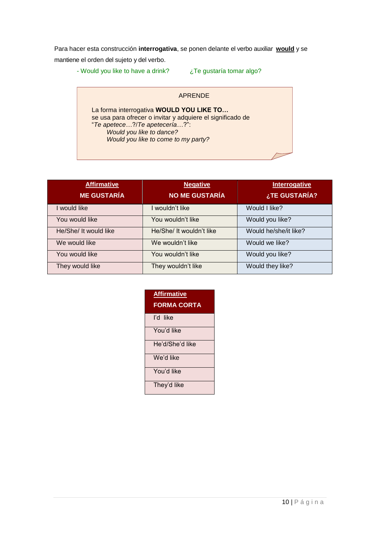Para hacer esta construcción **interrogativa**, se ponen delante el verbo auxiliar **would** y se mantiene el orden del sujeto y del verbo.

- Would you like to have a drink?  $iota$  Te gustaría tomar algo?

#### APRENDE

La forma interrogativa **WOULD YOU LIKE TO…** se usa para ofrecer o invitar y adquiere el significado de "*Te apetece*…?/*Te apetecería*…?": *Would you like to dance? Would you like to come to my party?*

| <b>Affirmative</b><br><b>ME GUSTARÍA</b> | <b>Negative</b><br><b>NO ME GUSTARÍA</b> | <b>Interrogative</b><br>¿TE GUSTARÍA? |
|------------------------------------------|------------------------------------------|---------------------------------------|
| I would like                             | I wouldn't like                          | Would I like?                         |
| You would like                           | You wouldn't like                        | Would you like?                       |
| He/She/ It would like                    | He/She/ It wouldn't like                 | Would he/she/it like?                 |
| We would like                            | We wouldn't like                         | Would we like?                        |
| You would like                           | You wouldn't like                        | Would you like?                       |
| They would like                          | They wouldn't like                       | Would they like?                      |

| <b>Affirmative</b><br><b>FORMA CORTA</b> |
|------------------------------------------|
| I'd like                                 |
| You'd like                               |
| He'd/She'd like                          |
| We'd like                                |
| You'd like                               |
| They'd like                              |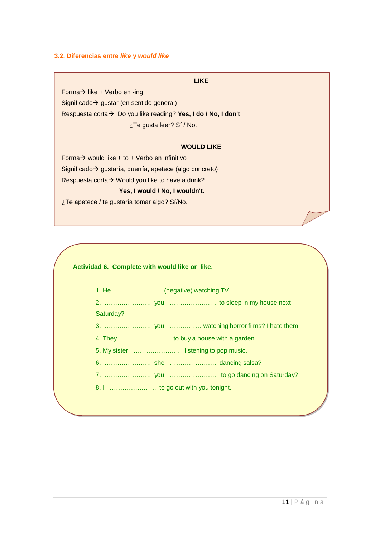#### <span id="page-10-0"></span>**3.2. Diferencias entre** *like* **y** *would like*

#### **LIKE**

Forma $\rightarrow$  like + Verbo en -ing Significado  $\rightarrow$  gustar (en sentido general) Respuesta corta > Do you like reading? Yes, I do / No, I don't. ¿Te gusta leer? Sí / No.

#### **WOULD LIKE**

Forma  $\rightarrow$  would like + to + Verbo en infinitivo Significado > gustaría, querría, apetece (algo concreto) Respuesta corta $\rightarrow$  Would you like to have a drink? **Yes, I would / No, I wouldn't.**

¿Te apetece / te gustaría tomar algo? Sí/No.

#### **Actividad 6. Complete with would like or like.**

- 1. He …………………. (negative) watching TV.
- 2. …………………. you …………………. to sleep in my house next

#### Saturday?

- 3. …………………. you …………… watching horror films? I hate them.
- 4. They …………………. to buy a house with a garden.
- 5. My sister …………………. listening to pop music.
- 6. …………………. she …………………. dancing salsa?
- 7. …………………. you …………………. to go dancing on Saturday?
- 8. I ……………………… to go out with you tonight.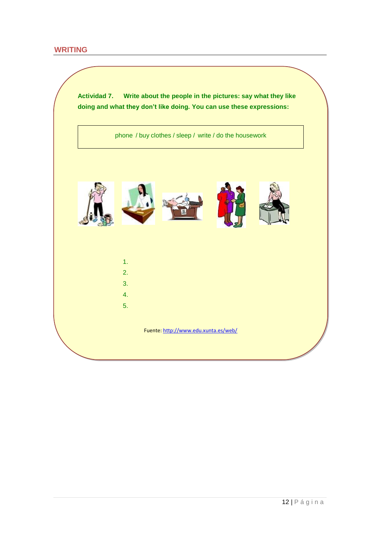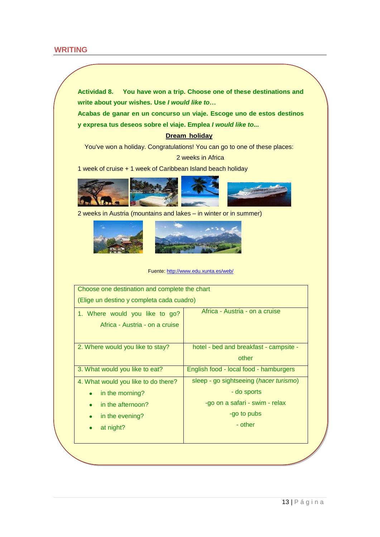# **WRITING**

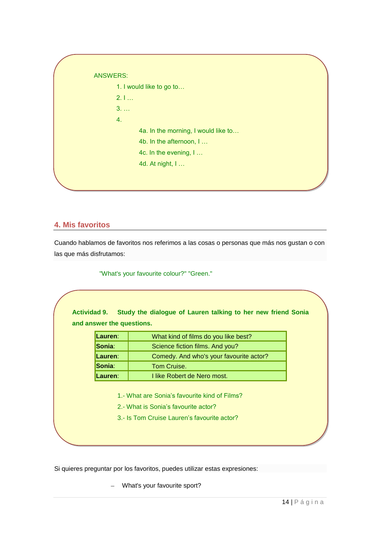|             | 1. I would like to go to            |
|-------------|-------------------------------------|
| 2.1         |                                     |
| $3. \ldots$ |                                     |
| 4.          |                                     |
|             | 4a. In the morning, I would like to |
|             | 4b. In the afternoon, I             |
|             | 4c. In the evening, I               |
|             | 4d. At night, I                     |

# <span id="page-13-0"></span>**4. Mis favoritos**

Cuando hablamos de favoritos nos referimos a las cosas o personas que más nos gustan o con las que más disfrutamos:

"What's your favourite colour?" "Green."

| Lauren:<br>What kind of films do you like best?<br>Sonia:<br>Science fiction films. And you? |
|----------------------------------------------------------------------------------------------|
|                                                                                              |
| Lauren:<br>Comedy. And who's your favourite actor?                                           |
| Sonia:<br>Tom Cruise.                                                                        |
| I like Robert de Nero most.<br>Lauren:                                                       |

Si quieres preguntar por los favoritos, puedes utilizar estas expresiones:

- What's your favourite sport?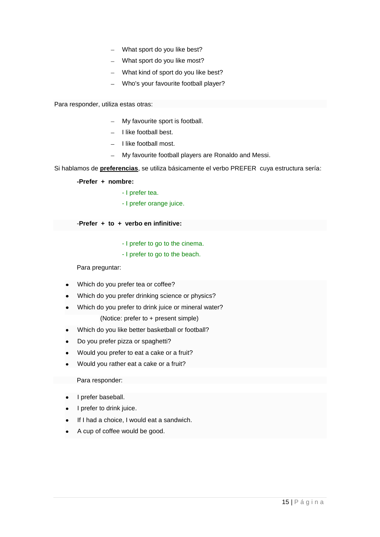- What sport do you like best?
- What sport do you like most?
- What kind of sport do you like best?
- Who's your favourite football player?

Para responder, utiliza estas otras:

- My favourite sport is football.
- I like football best.
- $-$  I like football most.
- My favourite football players are Ronaldo and Messi.

Si hablamos de **preferencias**, se utiliza básicamente el verbo PREFER cuya estructura sería:

**-Prefer + nombre:**

- I prefer tea.
- I prefer orange juice.

-**Prefer + to + verbo en infinitive:**

- I prefer to go to the cinema.
- I prefer to go to the beach.

Para preguntar:

- Which do you prefer tea or coffee?
- Which do you prefer drinking science or physics?
- Which do you prefer to drink juice or mineral water? (Notice: prefer to + present simple)
- Which do you like better basketball or football?
- Do you prefer pizza or spaghetti?  $\bullet$
- Would you prefer to eat a cake or a fruit?  $\bullet$
- Would you rather eat a cake or a fruit?

Para responder:

- I prefer baseball.
- I prefer to drink juice.
- If I had a choice, I would eat a sandwich.
- A cup of coffee would be good.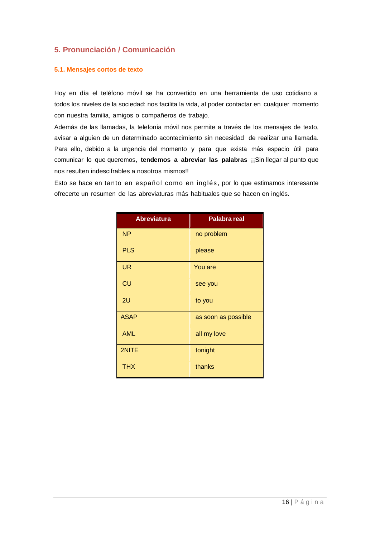# <span id="page-15-0"></span>**5. Pronunciación / Comunicación**

#### <span id="page-15-1"></span>**5.1. Mensajes cortos de texto**

Hoy en día el teléfono móvil se ha convertido en una herramienta de uso cotidiano a todos los niveles de la sociedad: nos facilita la vida, al poder contactar en cualquier momento con nuestra familia, amigos o compañeros de trabajo.

Además de las llamadas, la telefonía móvil nos permite a través de los mensajes de texto, avisar a alguien de un determinado acontecimiento sin necesidad de realizar una llamada. Para ello, debido a la urgencia del momento y para que exista más espacio útil para comunicar lo que queremos, **tendemos a abreviar las palabras** ¡¡Sin llegar al punto que nos resulten indescifrables a nosotros mismos!!

Esto se hace en tanto en español como en inglés , por lo que estimamos interesante ofrecerte un resumen de las abreviaturas más habituales que se hacen en inglés.

| <b>Abreviatura</b> | <b>Palabra real</b> |
|--------------------|---------------------|
| <b>NP</b>          | no problem          |
| <b>PLS</b>         | please              |
| UR                 | You are             |
| CU                 | see you             |
| 2U                 | to you              |
| <b>ASAP</b>        | as soon as possible |
| <b>AML</b>         | all my love         |
| 2NITE              | tonight             |
| <b>THX</b>         | thanks              |